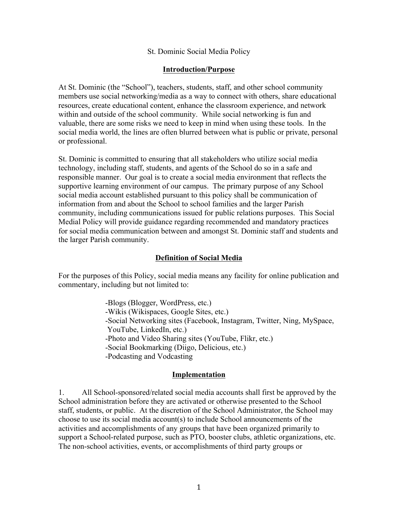### St. Dominic Social Media Policy

### **Introduction/Purpose**

At St. Dominic (the "School"), teachers, students, staff, and other school community members use social networking/media as a way to connect with others, share educational resources, create educational content, enhance the classroom experience, and network within and outside of the school community. While social networking is fun and valuable, there are some risks we need to keep in mind when using these tools. In the social media world, the lines are often blurred between what is public or private, personal or professional.

St. Dominic is committed to ensuring that all stakeholders who utilize social media technology, including staff, students, and agents of the School do so in a safe and responsible manner. Our goal is to create a social media environment that reflects the supportive learning environment of our campus. The primary purpose of any School social media account established pursuant to this policy shall be communication of information from and about the School to school families and the larger Parish community, including communications issued for public relations purposes. This Social Medial Policy will provide guidance regarding recommended and mandatory practices for social media communication between and amongst St. Dominic staff and students and the larger Parish community.

### **Definition of Social Media**

For the purposes of this Policy, social media means any facility for online publication and commentary, including but not limited to:

> -Blogs (Blogger, WordPress, etc.) -Wikis (Wikispaces, Google Sites, etc.) -Social Networking sites (Facebook, Instagram, Twitter, Ning, MySpace, YouTube, LinkedIn, etc.) -Photo and Video Sharing sites (YouTube, Flikr, etc.) -Social Bookmarking (Diigo, Delicious, etc.) -Podcasting and Vodcasting

### **Implementation**

1. All School-sponsored/related social media accounts shall first be approved by the School administration before they are activated or otherwise presented to the School staff, students, or public. At the discretion of the School Administrator, the School may choose to use its social media account(s) to include School announcements of the activities and accomplishments of any groups that have been organized primarily to support a School-related purpose, such as PTO, booster clubs, athletic organizations, etc. The non-school activities, events, or accomplishments of third party groups or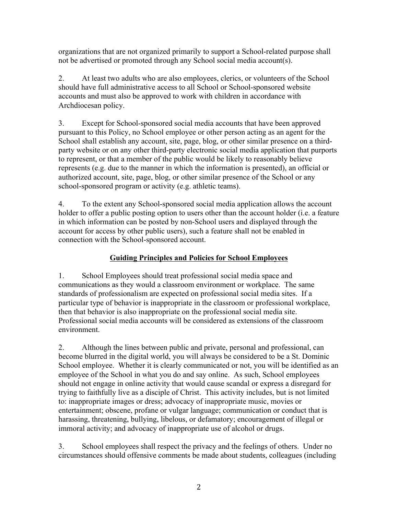organizations that are not organized primarily to support a School-related purpose shall not be advertised or promoted through any School social media account(s).

2. At least two adults who are also employees, clerics, or volunteers of the School should have full administrative access to all School or School-sponsored website accounts and must also be approved to work with children in accordance with Archdiocesan policy.

3. Except for School-sponsored social media accounts that have been approved pursuant to this Policy, no School employee or other person acting as an agent for the School shall establish any account, site, page, blog, or other similar presence on a thirdparty website or on any other third-party electronic social media application that purports to represent, or that a member of the public would be likely to reasonably believe represents (e.g. due to the manner in which the information is presented), an official or authorized account, site, page, blog, or other similar presence of the School or any school-sponsored program or activity (e.g. athletic teams).

4. To the extent any School-sponsored social media application allows the account holder to offer a public posting option to users other than the account holder (i.e. a feature in which information can be posted by non-School users and displayed through the account for access by other public users), such a feature shall not be enabled in connection with the School-sponsored account.

# **Guiding Principles and Policies for School Employees**

1. School Employees should treat professional social media space and communications as they would a classroom environment or workplace. The same standards of professionalism are expected on professional social media sites. If a particular type of behavior is inappropriate in the classroom or professional workplace, then that behavior is also inappropriate on the professional social media site. Professional social media accounts will be considered as extensions of the classroom environment.

2. Although the lines between public and private, personal and professional, can become blurred in the digital world, you will always be considered to be a St. Dominic School employee. Whether it is clearly communicated or not, you will be identified as an employee of the School in what you do and say online. As such, School employees should not engage in online activity that would cause scandal or express a disregard for trying to faithfully live as a disciple of Christ. This activity includes, but is not limited to: inappropriate images or dress; advocacy of inappropriate music, movies or entertainment; obscene, profane or vulgar language; communication or conduct that is harassing, threatening, bullying, libelous, or defamatory; encouragement of illegal or immoral activity; and advocacy of inappropriate use of alcohol or drugs.

3. School employees shall respect the privacy and the feelings of others. Under no circumstances should offensive comments be made about students, colleagues (including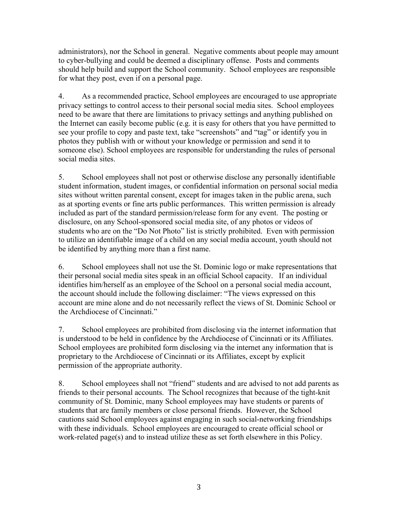administrators), nor the School in general. Negative comments about people may amount to cyber-bullying and could be deemed a disciplinary offense. Posts and comments should help build and support the School community. School employees are responsible for what they post, even if on a personal page.

4. As a recommended practice, School employees are encouraged to use appropriate privacy settings to control access to their personal social media sites. School employees need to be aware that there are limitations to privacy settings and anything published on the Internet can easily become public (e.g. it is easy for others that you have permitted to see your profile to copy and paste text, take "screenshots" and "tag" or identify you in photos they publish with or without your knowledge or permission and send it to someone else). School employees are responsible for understanding the rules of personal social media sites.

5. School employees shall not post or otherwise disclose any personally identifiable student information, student images, or confidential information on personal social media sites without written parental consent, except for images taken in the public arena, such as at sporting events or fine arts public performances. This written permission is already included as part of the standard permission/release form for any event. The posting or disclosure, on any School-sponsored social media site, of any photos or videos of students who are on the "Do Not Photo" list is strictly prohibited. Even with permission to utilize an identifiable image of a child on any social media account, youth should not be identified by anything more than a first name.

6. School employees shall not use the St. Dominic logo or make representations that their personal social media sites speak in an official School capacity. If an individual identifies him/herself as an employee of the School on a personal social media account, the account should include the following disclaimer: "The views expressed on this account are mine alone and do not necessarily reflect the views of St. Dominic School or the Archdiocese of Cincinnati."

7. School employees are prohibited from disclosing via the internet information that is understood to be held in confidence by the Archdiocese of Cincinnati or its Affiliates. School employees are prohibited form disclosing via the internet any information that is proprietary to the Archdiocese of Cincinnati or its Affiliates, except by explicit permission of the appropriate authority.

8. School employees shall not "friend" students and are advised to not add parents as friends to their personal accounts. The School recognizes that because of the tight-knit community of St. Dominic, many School employees may have students or parents of students that are family members or close personal friends. However, the School cautions said School employees against engaging in such social-networking friendships with these individuals. School employees are encouraged to create official school or work-related page(s) and to instead utilize these as set forth elsewhere in this Policy.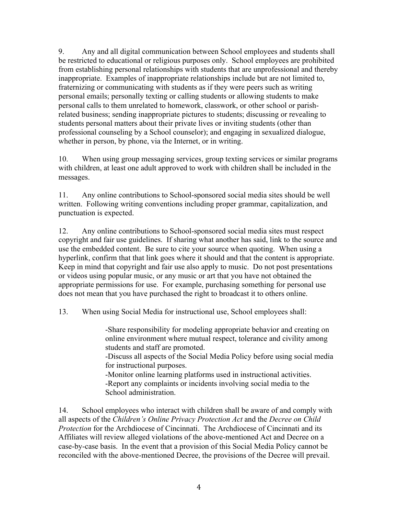9. Any and all digital communication between School employees and students shall be restricted to educational or religious purposes only. School employees are prohibited from establishing personal relationships with students that are unprofessional and thereby inappropriate. Examples of inappropriate relationships include but are not limited to, fraternizing or communicating with students as if they were peers such as writing personal emails; personally texting or calling students or allowing students to make personal calls to them unrelated to homework, classwork, or other school or parishrelated business; sending inappropriate pictures to students; discussing or revealing to students personal matters about their private lives or inviting students (other than professional counseling by a School counselor); and engaging in sexualized dialogue, whether in person, by phone, via the Internet, or in writing.

10. When using group messaging services, group texting services or similar programs with children, at least one adult approved to work with children shall be included in the messages.

11. Any online contributions to School-sponsored social media sites should be well written. Following writing conventions including proper grammar, capitalization, and punctuation is expected.

12. Any online contributions to School-sponsored social media sites must respect copyright and fair use guidelines. If sharing what another has said, link to the source and use the embedded content. Be sure to cite your source when quoting. When using a hyperlink, confirm that that link goes where it should and that the content is appropriate. Keep in mind that copyright and fair use also apply to music. Do not post presentations or videos using popular music, or any music or art that you have not obtained the appropriate permissions for use. For example, purchasing something for personal use does not mean that you have purchased the right to broadcast it to others online.

13. When using Social Media for instructional use, School employees shall:

-Share responsibility for modeling appropriate behavior and creating on online environment where mutual respect, tolerance and civility among students and staff are promoted.

-Discuss all aspects of the Social Media Policy before using social media for instructional purposes.

-Monitor online learning platforms used in instructional activities. -Report any complaints or incidents involving social media to the School administration.

14. School employees who interact with children shall be aware of and comply with all aspects of the *Children's Online Privacy Protection Act* and the *Decree on Child Protection* for the Archdiocese of Cincinnati. The Archdiocese of Cincinnati and its Affiliates will review alleged violations of the above-mentioned Act and Decree on a case-by-case basis. In the event that a provision of this Social Media Policy cannot be reconciled with the above-mentioned Decree, the provisions of the Decree will prevail.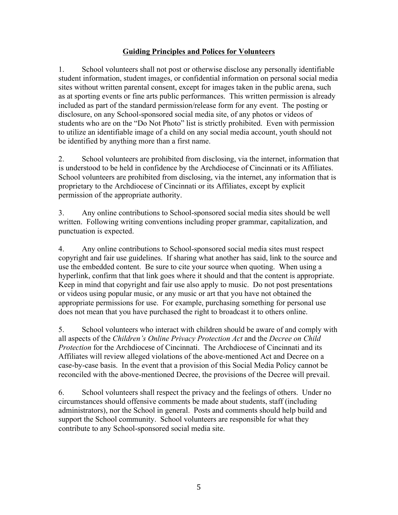## **Guiding Principles and Polices for Volunteers**

1. School volunteers shall not post or otherwise disclose any personally identifiable student information, student images, or confidential information on personal social media sites without written parental consent, except for images taken in the public arena, such as at sporting events or fine arts public performances. This written permission is already included as part of the standard permission/release form for any event. The posting or disclosure, on any School-sponsored social media site, of any photos or videos of students who are on the "Do Not Photo" list is strictly prohibited. Even with permission to utilize an identifiable image of a child on any social media account, youth should not be identified by anything more than a first name.

2. School volunteers are prohibited from disclosing, via the internet, information that is understood to be held in confidence by the Archdiocese of Cincinnati or its Affiliates. School volunteers are prohibited from disclosing, via the internet, any information that is proprietary to the Archdiocese of Cincinnati or its Affiliates, except by explicit permission of the appropriate authority.

3. Any online contributions to School-sponsored social media sites should be well written. Following writing conventions including proper grammar, capitalization, and punctuation is expected.

4. Any online contributions to School-sponsored social media sites must respect copyright and fair use guidelines. If sharing what another has said, link to the source and use the embedded content. Be sure to cite your source when quoting. When using a hyperlink, confirm that that link goes where it should and that the content is appropriate. Keep in mind that copyright and fair use also apply to music. Do not post presentations or videos using popular music, or any music or art that you have not obtained the appropriate permissions for use. For example, purchasing something for personal use does not mean that you have purchased the right to broadcast it to others online.

5. School volunteers who interact with children should be aware of and comply with all aspects of the *Children's Online Privacy Protection Act* and the *Decree on Child Protection* for the Archdiocese of Cincinnati. The Archdiocese of Cincinnati and its Affiliates will review alleged violations of the above-mentioned Act and Decree on a case-by-case basis. In the event that a provision of this Social Media Policy cannot be reconciled with the above-mentioned Decree, the provisions of the Decree will prevail.

6. School volunteers shall respect the privacy and the feelings of others. Under no circumstances should offensive comments be made about students, staff (including administrators), nor the School in general. Posts and comments should help build and support the School community. School volunteers are responsible for what they contribute to any School-sponsored social media site.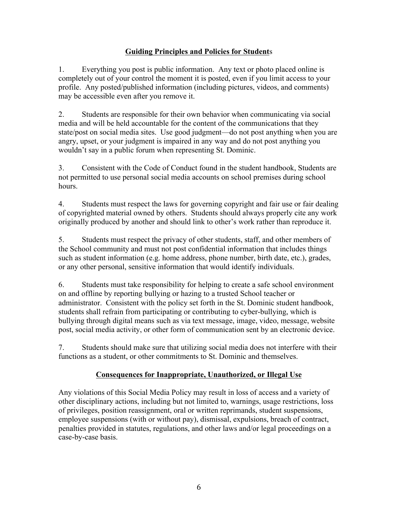# **Guiding Principles and Policies for Student**s

1. Everything you post is public information. Any text or photo placed online is completely out of your control the moment it is posted, even if you limit access to your profile. Any posted/published information (including pictures, videos, and comments) may be accessible even after you remove it.

2. Students are responsible for their own behavior when communicating via social media and will be held accountable for the content of the communications that they state/post on social media sites. Use good judgment—do not post anything when you are angry, upset, or your judgment is impaired in any way and do not post anything you wouldn't say in a public forum when representing St. Dominic.

3. Consistent with the Code of Conduct found in the student handbook, Students are not permitted to use personal social media accounts on school premises during school hours.

4. Students must respect the laws for governing copyright and fair use or fair dealing of copyrighted material owned by others. Students should always properly cite any work originally produced by another and should link to other's work rather than reproduce it.

5. Students must respect the privacy of other students, staff, and other members of the School community and must not post confidential information that includes things such as student information (e.g. home address, phone number, birth date, etc.), grades, or any other personal, sensitive information that would identify individuals.

6. Students must take responsibility for helping to create a safe school environment on and offline by reporting bullying or hazing to a trusted School teacher or administrator. Consistent with the policy set forth in the St. Dominic student handbook, students shall refrain from participating or contributing to cyber-bullying, which is bullying through digital means such as via text message, image, video, message, website post, social media activity, or other form of communication sent by an electronic device.

7. Students should make sure that utilizing social media does not interfere with their functions as a student, or other commitments to St. Dominic and themselves.

# **Consequences for Inappropriate, Unauthorized, or Illegal Use**

Any violations of this Social Media Policy may result in loss of access and a variety of other disciplinary actions, including but not limited to, warnings, usage restrictions, loss of privileges, position reassignment, oral or written reprimands, student suspensions, employee suspensions (with or without pay), dismissal, expulsions, breach of contract, penalties provided in statutes, regulations, and other laws and/or legal proceedings on a case-by-case basis.